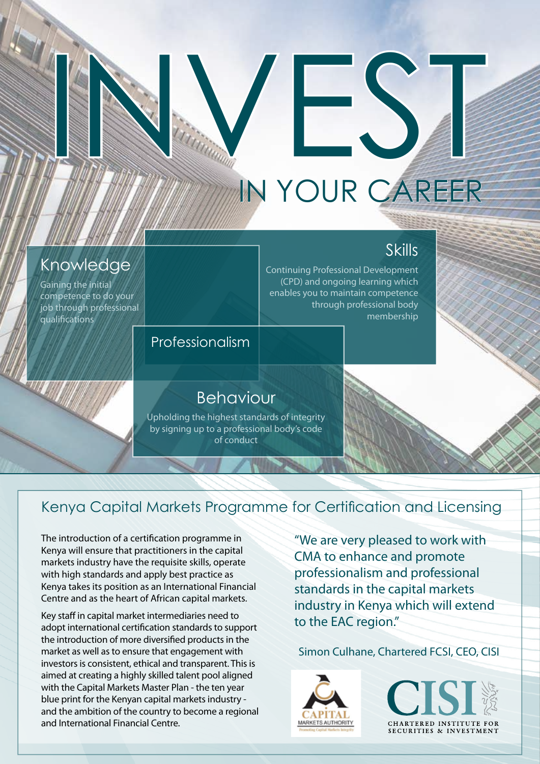# IN YOUR CAREER

INVEST

# **Skills**

Continuing Professional Development (CPD) and ongoing learning which enables you to maintain competence through professional body membership

## Professionalism

# Behaviour

Upholding the highest standards of integrity by signing up to a professional body's code of conduct

## Kenya Capital Markets Programme for Certification and Licensing

The introduction of a certification programme in Kenya will ensure that practitioners in the capital markets industry have the requisite skills, operate with high standards and apply best practice as Kenya takes its position as an International Financial Centre and as the heart of African capital markets.

Knowledge

Gaining the initial competence to do your job through professional

qualifications

Key staff in capital market intermediaries need to adopt international certification standards to support the introduction of more diversified products in the market as well as to ensure that engagement with investors is consistent, ethical and transparent. This is aimed at creating a highly skilled talent pool aligned with the Capital Markets Master Plan - the ten year blue print for the Kenyan capital markets industry and the ambition of the country to become a regional and International Financial Centre

"We are very pleased to work with CMA to enhance and promote professionalism and professional standards in the capital markets industry in Kenya which will extend to the EAC region."

Simon Culhane, Chartered FCSI, CEO, CISI



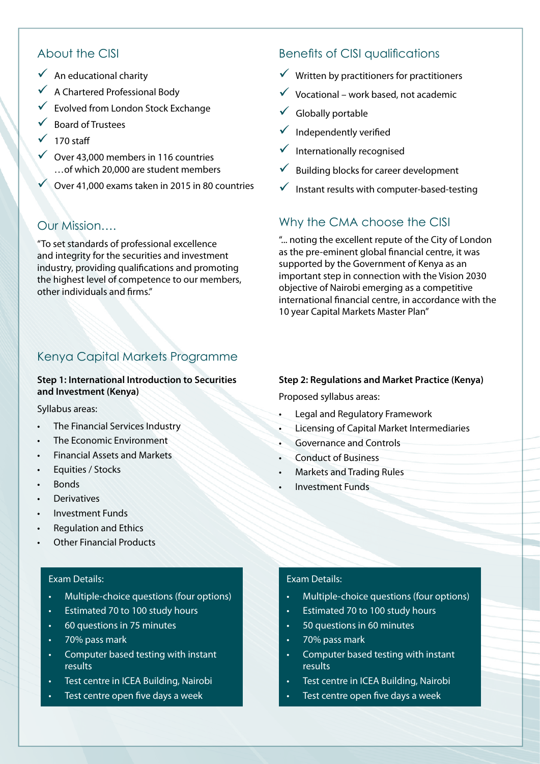#### About the CISI

- $\checkmark$  An educational charity
- $\sqrt{\phantom{a}}$  A Chartered Professional Body
- $\checkmark$  Evolved from London Stock Exchange
- **Board of Trustees**
- $\sqrt{ }$  170 staff
- $\sqrt{}$  Over 43,000 members in 116 countries ... of which 20,000 are student members
- $\sqrt{ }$  Over 41,000 exams taken in 2015 in 80 countries

#### Our Mission....

"To set standards of professional excellence and integrity for the securities and investment industry, providing qualifications and promoting the highest level of competence to our members, other individuals and firms."

#### Kenya Capital Markets Programme

#### **Step 1: International Introduction to Securities** and Investment (Kenya)

Syllabus areas:

- The Financial Services Industry
- The Economic Environment
- Financial Assets and Markets
- Equities / Stocks
- Bonds
- **Derivatives**
- Investment Funds
- Regulation and Ethics
- **Other Financial Products**

#### Exam Details:

- Multiple-choice questions (four options)
- Estimated 70 to 100 study hours
- 60 questions in 75 minutes
- 70% pass mark
- Computer based testing with instant results
- Test centre in ICEA Building, Nairobi
- Test centre open five days a week

#### Benefits of CISI qualifications

- $\checkmark$  Written by practitioners for practitioners
- $\checkmark$  Vocational work based, not academic
- $\checkmark$  Globally portable
- $\checkmark$  Independently verified
- $\checkmark$  Internationally recognised
- $\sqrt{\phantom{a}}$  Building blocks for career development
- $\checkmark$  Instant results with computer-based-testing

#### Why the CMA choose the CISI

"... noting the excellent repute of the City of London as the pre-eminent global financial centre, it was supported by the Government of Kenya as an important step in connection with the Vision 2030 objective of Nairobi emerging as a competitive international financial centre, in accordance with the 10 year Capital Markets Master Plan"

#### **Step 2: Regulations and Market Practice (Kenya)**

Proposed syllabus areas:

- Legal and Regulatory Framework
- Licensing of Capital Market Intermediaries
- Governance and Controls
- **Conduct of Business**
- **Markets and Trading Rules**
- Investment Funds

#### Exam Details:

- Multiple-choice questions (four options)
- Estimated 70 to 100 study hours
- 50 questions in 60 minutes
- 70% pass mark
- Computer based testing with instant results
- Test centre in ICEA Building, Nairobi
- Test centre open five days a week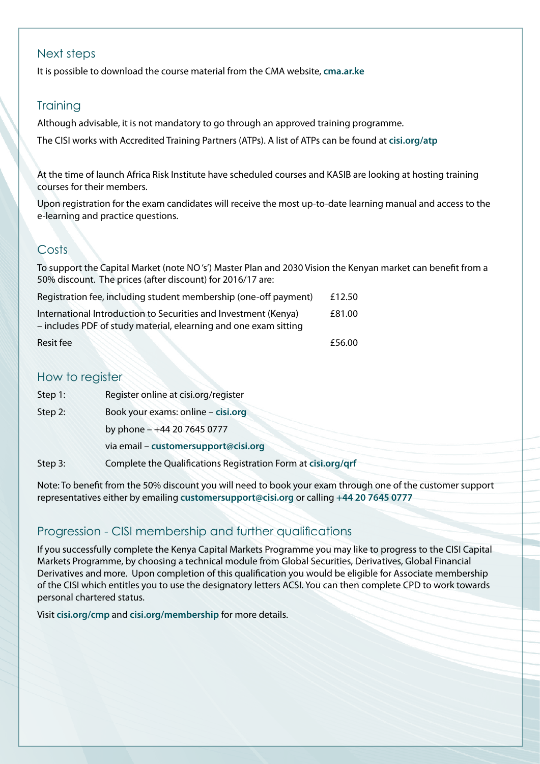#### Next steps

It is possible to download the course material from the CMA website, cma.ar.ke

#### **Training**

Although advisable, it is not mandatory to go through an approved training programme.

The CISI works with Accredited Training Partners (ATPs). A list of ATPs can be found at cisi.org/atp

At the time of launch Africa Risk Institute have scheduled courses and KASIB are looking at hosting training courses for their members

Upon registration for the exam candidates will receive the most up-to-date learning manual and access to the e-learning and practice questions.

### Costs

To support the Capital Market (note NO's') Master Plan and 2030 Vision the Kenyan market can benefit from a 50% discount. The prices (after discount) for 2016/17 are:

| Registration fee, including student membership (one-off payment)                                                                    | £12.50 |
|-------------------------------------------------------------------------------------------------------------------------------------|--------|
| International Introduction to Securities and Investment (Kenya)<br>- includes PDF of study material, elearning and one exam sitting | £81.00 |
| Resit fee                                                                                                                           | £56.00 |

#### How to register

| Step 1: | Register online at cisi.org/register                          |  |
|---------|---------------------------------------------------------------|--|
| Step 2: | Book your exams: online - cisi.org                            |  |
|         | by phone - +44 20 7645 0777                                   |  |
|         | via email - customersupport@cisi.org                          |  |
| Step 3: | Complete the Qualifications Registration Form at cisi.org/qrf |  |

Note: To benefit from the 50% discount you will need to book your exam through one of the customer support representatives either by emailing customersupport@cisi.org or calling +44 20 7645 0777

#### Progression - CISI membership and further qualifications

If you successfully complete the Kenya Capital Markets Programme you may like to progress to the CISI Capital Markets Programme, by choosing a technical module from Global Securities, Derivatives, Global Financial Derivatives and more. Upon completion of this qualification you would be eligible for Associate membership of the CISI which entitles you to use the designatory letters ACSI. You can then complete CPD to work towards personal chartered status.

Visit cisi.org/cmp and cisi.org/membership for more details.